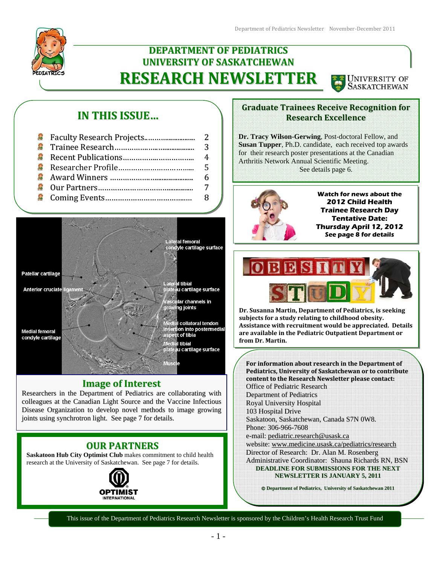# **DEPARTMENT OF PEDIATRICS UNIVERSITY OF SASKATCHEWAN RESEARCH NEWSLETTER**



# **IN THIS ISSUE…**



## **Image of Interest**

Researchers in the Department of Pediatrics are collaborating with colleagues at the Canadian Light Source and the Vaccine Infectious Disease Organization to develop novel methods to image growing joints using synchrotron light. See page 7 for details.

## **OUR PARTNERS**

**Saskatoon Hub City Optimist Club** makes commitment to child health research at the University of Saskatchewan. See page 7 for details.



## **Graduate Trainees Receive Recognition for Research Excellence**

**Dr. Tracy Wilson-Gerwing**, Post-doctoral Fellow, and **Susan Tupper**, Ph.D. candidate, each received top awards for their research poster presentations at the Canadian Arthritis Network Annual Scientific Meeting. See details page 6.



**Watch for news about the 2012 Child Health Trainee Research Day Tentative Date: Thursday April 12, 2012 See page 8 for details** 



**Dr. Susanna Martin, Department of Pediatrics, is seeking subjects for a study relating to childhood obesity. Assistance with recruitment would be appreciated. Details are available in the Pediatric Outpatient Department or from Dr. Martin.** 

**For information about research in the Department of Pediatrics, University of Saskatchewan or to contribute content to the Research Newsletter please contact:** Office of Pediatric Research Department of Pediatrics Royal University Hospital 103 Hospital Drive Saskatoon, Saskatchewan, Canada S7N 0W8. Phone: 306-966-7608 e-mail: pediatric.research@usask.ca website: www.medicine.usask.ca/pediatrics/research Director of Research: Dr. Alan M. Rosenberg Administrative Coordinator: Shauna Richards RN, BSN **DEADLINE FOR SUBMISSIONS FOR THE NEXT NEWSLETTER IS JANUARY 5, 2011**

**Department of Pediatrics, University of Saskatchewan 2011**

This issue of the Department of Pediatrics Research Newsletter is sponsored by the Children's Health Research Trust Fund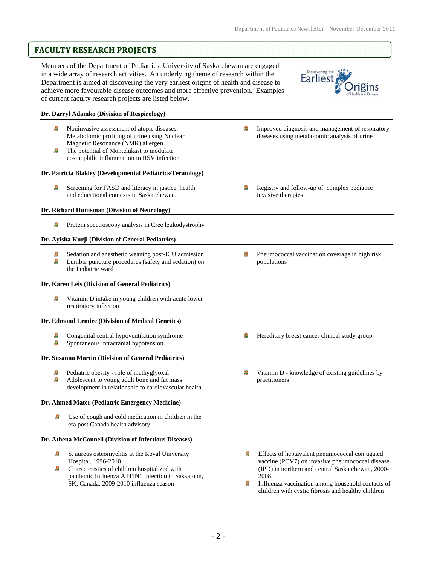# **FACULTY RESEARCH PROJECTS**

Members of the Department of Pediatrics, University of Saskatchewan are engaged in a wide array of research activities. An underlying theme of research within the Department is aimed at discovering the very earliest origins of health and disease to achieve more favourable disease outcomes and more effective prevention. Examples of current faculty research projects are listed below.



### **Dr. Darryl Adamko (Division of Respirology)**  Ω Noninvasive assessment of atopic diseases: Ω Improved diagnosis and management of respiratory Metabolomic profiling of urine using Nuclear diseases using metabolomic analysis of urine Magnetic Resonance (NMR) allergen ß The potential of Montelukast to modulate eosinophilic inflammation in RSV infection **Dr. Patricia Blakley (Developmental Pediatrics/Teratology)**  Q Screening for FASD and literacy in justice, health g Registry and follow-up of complex pediatric and educational contexts in Saskatchewan. invasive therapies **Dr. Richard Huntsman (Division of Neurology)**  Protein spectroscopy analysis in Cree leukodystrophy 寫 **Dr. Ayisha Kurji (Division of General Pediatrics)**  Ω Sedation and anesthetic weaning post-ICU admission Ω Pneumococcal vaccination coverage in high risk £. Lumbar puncture procedures (safety and sedation) on populations the Pediatric ward **Dr. Karen Leis (Division of General Pediatrics)**  g Vitamin D intake in young children with acute lower respiratory infection **Dr. Edmond Lemire (Division of Medical Genetics)**  Q Congenital central hypoventilation syndrome ß Hereditary breast cancer clinical study group ß Spontaneous intracranial hypotension **Dr. Susanna Martin (Division of General Pediatrics)**  寫 Pediatric obesity - role of methyglyoxal ø Vitamin D - knowledge of existing guidelines by Ω Adolescent to young adult bone and fat mass practitioners development in relationship to cardiovascular health **Dr. Ahmed Mater (Pediatric Emergency Medicine)**  S. Use of cough and cold medication in children in the era post Canada health advisory **Dr. Athena McConnell (Division of Infectious Diseases)**  £. S. aureus osteomyelitis at the Royal University **Signal** Effects of heptavalent pneumococcal conjugated Hospital, 1996-2010 vaccine (PCV7) on invasive pneumococcal disease Q Characteristics of children hospitalized with (IPD) in northern and central Saskatchewan, 2000 pandemic Influenza A H1N1 infection in Saskatoon, 2008 SK, Canada, 2009-2010 influenza season g Influenza vaccination among household contacts of children with cystic fibrosis and healthy children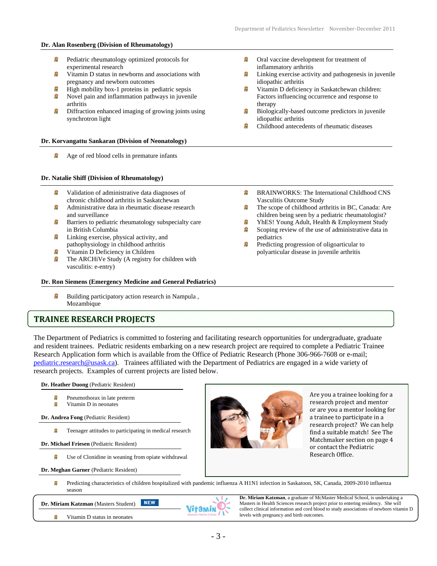### **Dr. Alan Rosenberg (Division of Rheumatology)**

- £. Pediatric rheumatology optimized protocols for experimental research
- Ø Vitamin D status in newborns and associations with pregnancy and newborn outcomes
- 寫 High mobility box-1 proteins in pediatric sepsis
- Novel pain and inflammation pathways in juvenile arthritis
- Ω Diffraction enhanced imaging of growing joints using synchrotron light

### **Dr. Korvangattu Sankaran (Division of Neonatology)**

Q Age of red blood cells in premature infants

### **Dr. Natalie Shiff (Division of Rheumatology)**

- Ω Validation of administrative data diagnoses of chronic childhood arthritis in Saskatchewan
- £. Administrative data in rheumatic disease research and surveillance
- **Barriers to pediatric rheumatology subspecialty care** in British Columbia
- **2** Linking exercise, physical activity, and pathophysiology in childhood arthritis
- Q Vitamin D Deficiency in Children
- O The ARCHiVe Study (A registry for children with vasculitis: e-entry)

## **Dr. Ron Siemens (Emergency Medicine and General Pediatrics)**

Ω Building participatory action research in Nampula , Mozambique

## **TRAINEE RESEARCH PROJECTS**

 The Department of Pediatrics is committed to fostering and facilitating research opportunities for undergraduate, graduate and resident trainees. Pediatric residents embarking on a new research project are required to complete a Pediatric Trainee Research Application form which is available from the Office of Pediatric Research (Phone 306-966-7608 or e-mail; pediatric.research@usask.ca). Trainees affiliated with the Department of Pediatrics are engaged in a wide variety of research projects. Examples of current projects are listed below.

**Dr. Heather Duong** (Pediatric Resident)

- ø Pneumothorax in late preterm
- ø Vitamin D in neonates

**Dr. Andrea Fong** (Pediatric Resident)

Teenager attitudes to participating in medical research Ω

**Dr. Michael Friesen** (Pediatric Resident)

֡֡

Ω Use of Clonidine in weaning from opiate withdrawal

**Dr. Meghan Garner** (Pediatric Resident)

Predicting characteristics of children hospitalized with pandemic influenza A H1N1 infection in Saskatoon, SK, Canada, 2009-2010 influenza g season

**NEW Dr. Miriam Katzman** (Masters Student)

> Q Vitamin D status in neonates

- £, Oral vaccine development for treatment of inflammatory arthritis
- Ω Linking exercise activity and pathogenesis in juvenile idiopathic arthritis
- Vitamin D deficiency in Saskatchewan children: Factors influencing occurrence and response to therapy
- Biologically-based outcome predictors in juvenile idiopathic arthritis
- Childhood antecedents of rheumatic diseases

- Q BRAINWORKS: The International Childhood CNS Vasculitis Outcome Study
- Ω The scope of childhood arthritis in BC, Canada: Are children being seen by a pediatric rheumatologist? Ω
- YhES! Young Adult, Health & Employment Study Ω Scoping review of the use of administrative data in pediatrics
- Predicting progression of oligoarticular to polyarticular disease in juvenile arthritis



Are you a trainee looking for a research project and mentor or are you a mentor looking for a trainee to participate in a research project? We can help find a suitable match! See The Matchmaker section on page 4 or contact the Pediatric Research Office.



**Dr. Miriam Katzman**, a graduate of McMaster Medical School, is undertaking a Masters in Health Sciences research project prior to entering residency. She will collect clinical information and cord blood to study associations of newborn vitamin D levels with pregnancy and birth outcomes.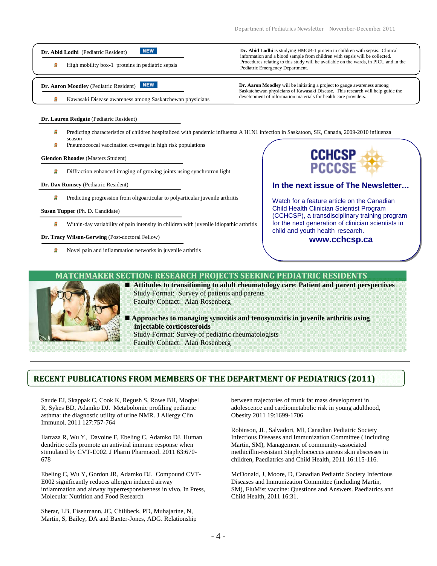#### **NEW Dr. Abid Lodhi** (Pediatric Resident)

High mobility box-1 proteins in pediatric sepsis Ω

### **Dr. Aaron Moodley** (Pediatric Resident) **NEW**

ø Kawasaki Disease awareness among Saskatchewan physicians **Dr. Abid Lodhi** is studying HMGB-1 protein in children with sepsis. Clinical information and a blood sample from children with sepsis will be collected. Procedures relating to this study will be available on the wards, in PICU and in the Pediatric Emergency Department.

**Dr. Aaron Moodley** will be initiating a project to gauge awareness among Saskatchewan physicians of Kawasaki Disease. This research will help guide the development of information materials for health care providers.

### **Dr. Lauren Redgate** (Pediatric Resident)

- Predicting characteristics of children hospitalized with pandemic influenza A H1N1 infection in Saskatoon, SK, Canada, 2009-2010 influenza £ season
- g Pneumococcal vaccination coverage in high risk populations

### **Glendon Rhoades** (Masters Student)

Д Diffraction enhanced imaging of growing joints using synchrotron light

### **Dr. Dax Rumsey** (Pediatric Resident)

g Predicting progression from oligoarticular to polyarticular juvenile arthritis

### **Susan Tupper** (Ph. D. Candidate)

g Within-day variability of pain intensity in children with juvenile idiopathic arthritis

### **Dr. Tracy Wilson-Gerwing** (Post-doctoral Fellow)

ø Novel pain and inflammation networks in juvenile arthritis

# CCHCSF

## **In the next issue of The Newsletter…**

Watch for a feature article on the Canadian Child Health Clinician Scientist Program (CCHCSP), a transdisciplinary training program for the next generation of clinician scientists in child and youth health research.

## **www.cchcsp.ca**

## **MATCHMAKER SECTION: RESEARCH PROJECTS SEEKING PEDIATRIC RESIDENTS**



- **Attitudes to transitioning to adult rheumatology care**: **Patient and parent perspectives**  Study Format: Survey of patients and parents Faculty Contact: Alan Rosenberg
- **Approaches to managing synovitis and tenosynovitis in juvenile arthritis using injectable corticosteroids**  Study Format: Survey of pediatric rheumatologists Faculty Contact: Alan Rosenberg

## **RECENT PUBLICATIONS FROM MEMBERS OF THE DEPARTMENT OF PEDIATRICS (2011)**

Saude EJ, Skappak C, Cook K, Regush S, Rowe BH, Moqbel R, Sykes BD, Adamko DJ. Metabolomic profiling pediatric asthma: the diagnostic utility of urine NMR. J Allergy Clin Immunol. 2011 127:757-764

Ilarraza R, Wu Y, Davoine F, Ebeling C, Adamko DJ. Human dendritic cells promote an antiviral immune response when stimulated by CVT-E002. J Pharm Pharmacol. 2011 63:670- 678

Ebeling C, Wu Y, Gordon JR, Adamko DJ. Compound CVT-E002 significantly reduces allergen induced airway inflammation and airway hyperresponsiveness in vivo. In Press, Molecular Nutrition and Food Research

Sherar, LB, Eisenmann, JC, Chilibeck, PD, Muhajarine, N, Martin, S, Bailey, DA and Baxter-Jones, ADG. Relationship

between trajectories of trunk fat mass development in adolescence and cardiometabolic risk in young adulthood, Obesity 2011 19:1699-1706

Robinson, JL, Salvadori, MI, Canadian Pediatric Society Infectious Diseases and Immunization Committee ( including Martin, SM), Management of community-associated methicillin-resistant Staphylococcus aureus skin abscesses in children, Paediatrics and Child Health, 2011 16:115-116.

McDonald, J, Moore, D, Canadian Pediatric Society Infectious Diseases and Immunization Committee (including Martin, SM), FluMist vaccine: Questions and Answers. Paediatrics and Child Health, 2011 16:31.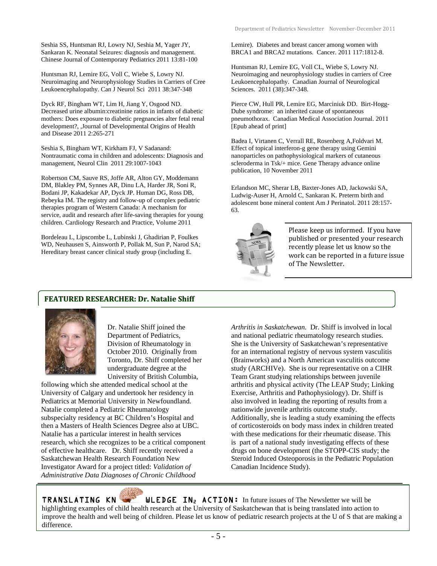Seshia SS, Huntsman RJ, Lowry NJ, Seshia M, Yager JY, Sankaran K. Neonatal Seizures: diagnosis and management. Chinese Journal of Contemporary Pediatrics 2011 13:81-100

Huntsman RJ, Lemire EG, Voll C, Wiebe S, Lowry NJ. Neuroimaging and Neurophysiology Studies in Carriers of Cree Leukoencephalopathy. Can J Neurol Sci 2011 38:347-348

Dyck RF, Bingham WT, Lim H, Jiang Y, Osgood ND. Decreased urine albumin:creatinine ratios in infants of diabetic mothers: Does exposure to diabetic pregnancies alter fetal renal development?, ,Journal of Developmental Origins of Health and Disease 2011 2:265-271

Seshia S, Bingham WT, Kirkham FJ, V Sadanand: Nontraumatic coma in children and adolescents: Diagnosis and management, Neurol Clin 2011 29:1007-1043

Robertson CM, Sauve RS, Joffe AR, Alton GY, Moddemann DM, Blakley PM, Synnes AR, Dinu LA, Harder JR, Soni R, Bodani JP, Kakadekar AP, Dyck JP. Human DG, Ross DB, Rebeyka IM. The registry and follow-up of complex pediatric therapies program of Western Canada: A mechanism for service, audit and research after life-saving therapies for young children. Cardiology Research and Practice, Volume 2011

Bordeleau L, Lipscombe L, Lubinski J, Ghadirian P, Foulkes WD, Neuhausen S, Ainsworth P, Pollak M, Sun P, Narod SA; Hereditary breast cancer clinical study group (including E.

Lemire). Diabetes and breast cancer among women with BRCA1 and BRCA2 mutations. Cancer. 2011 117:1812-8.

Huntsman RJ, Lemire EG, Voll CL, Wiebe S, Lowry NJ. Neuroimaging and neurophysiology studies in carriers of Cree Leukoencephalopathy. Canadian Journal of Neurological Sciences. 2011 (38):347-348.

Pierce CW, Hull PR, Lemire EG, Marciniuk DD. Birt-Hogg-Dube syndrome: an inherited cause of spontaneous pneumothorax. Canadian Medical Association Journal. 2011 [Epub ahead of print]

Badea I, Virtanen C, Verrall RE, Rosenberg A,Foldvari M. Effect of topical interferon-g gene therapy using Gemini nanoparticles on pathophysiological markers of cutaneous scleroderma in Tsk/+ mice. Gene Therapy advance online publication, 10 November 2011

Erlandson MC, Sherar LB, Baxter-Jones AD, Jackowski SA, Ludwig-Auser H, Arnold C, Sankaran K. Preterm birth and adolescent bone mineral content Am J Perinatol. 2011 28:157- 63.



Please keep us informed. If you have published or presented your research recently please let us know so the work can be reported in a future issue of The Newsletter.

## **FEATURED RESEARCHER: Dr. Natalie Shiff**



Dr. Natalie Shiff joined the Department of Pediatrics, Division of Rheumatology in October 2010. Originally from Toronto, Dr. Shiff completed her undergraduate degree at the University of British Columbia,

following which she attended medical school at the University of Calgary and undertook her residency in Pediatrics at Memorial University in Newfoundland. Natalie completed a Pediatric Rheumatology subspecialty residency at BC Children's Hospital and then a Masters of Health Sciences Degree also at UBC. Natalie has a particular interest in health services research, which she recognizes to be a critical component of effective healthcare. Dr. Shiff recently received a Saskatchewan Health Research Foundation New Investigator Award for a project titled: *Validation of Administrative Data Diagnoses of Chronic Childhood* 

*Arthritis in Saskatchewan.* Dr. Shiff is involved in local and national pediatric rheumatology research studies. She is the University of Saskatchewan's representative for an international registry of nervous system vasculitis (Brainworks) and a North American vasculitis outcome study (ARCHIVe). She is our representative on a CIHR Team Grant studying relationships between juvenile arthritis and physical activity (The LEAP Study; Linking Exercise, Arthritis and Pathophysiology). Dr. Shiff is also involved in leading the reporting of results from a nationwide juvenile arthritis outcome study. Additionally, she is leading a study examining the effects of corticosteroids on body mass index in children treated with these medications for their rheumatic disease. This is part of a national study investigating effects of these drugs on bone development (the STOPP-CIS study; the Steroid Induced Osteoporosis in the Pediatric Population Canadian Incidence Study).

TRANSLATING KN **WLEDGE IN<sub>2</sub> ACTION:** In future issues of The Newsletter we will be highlighting examples of child health research at the University of Saskatchewan that is being translated into action to improve the health and well being of children. Please let us know of pediatric research projects at the U of S that are making a difference.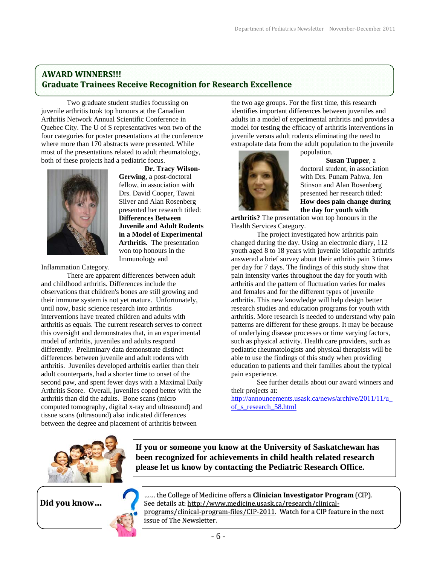## **AWARD WINNERS!!! Graduate Trainees Receive Recognition for Research Excellence**

Two graduate student studies focussing on juvenile arthritis took top honours at the Canadian Arthritis Network Annual Scientific Conference in Quebec City. The U of S representatives won two of the four categories for poster presentations at the conference where more than 170 abstracts were presented. While most of the presentations related to adult rheumatology, both of these projects had a pediatric focus.



**Dr. Tracy Wilson-Gerwing**, a post-doctoral fellow, in association with Drs. David Cooper, Tawni Silver and Alan Rosenberg presented her research titled: **Differences Between Juvenile and Adult Rodents in a Model of Experimental Arthritis.** The presentation won top honours in the Immunology and

Inflammation Category.

There are apparent differences between adult and childhood arthritis. Differences include the observations that children's bones are still growing and their immune system is not yet mature. Unfortunately, until now, basic science research into arthritis interventions have treated children and adults with arthritis as equals. The current research serves to correct this oversight and demonstrates that, in an experimental model of arthritis, juveniles and adults respond differently. Preliminary data demonstrate distinct differences between juvenile and adult rodents with arthritis. Juveniles developed arthritis earlier than their adult counterparts, had a shorter time to onset of the second paw, and spent fewer days with a Maximal Daily Arthritis Score. Overall, juveniles coped better with the arthritis than did the adults. Bone scans (micro computed tomography, digital x-ray and ultrasound) and tissue scans (ultrasound) also indicated differences between the degree and placement of arthritis between

the two age groups. For the first time, this research identifies important differences between juveniles and adults in a model of experimental arthritis and provides a model for testing the efficacy of arthritis interventions in juvenile versus adult rodents eliminating the need to extrapolate data from the adult population to the juvenile population.



**Susan Tupper**, a doctoral student, in association with Drs. Punam Pahwa, Jen Stinson and Alan Rosenberg presented her research titled: **How does pain change during the day for youth with** 

**arthritis?** The presentation won top honours in the Health Services Category.

The project investigated how arthritis pain changed during the day. Using an electronic diary, 112 youth aged 8 to 18 years with juvenile idiopathic arthritis answered a brief survey about their arthritis pain 3 times per day for 7 days. The findings of this study show that pain intensity varies throughout the day for youth with arthritis and the pattern of fluctuation varies for males and females and for the different types of juvenile arthritis. This new knowledge will help design better research studies and education programs for youth with arthritis. More research is needed to understand why pain patterns are different for these groups. It may be because of underlying disease processes or time varying factors, such as physical activity. Health care providers, such as pediatric rheumatologists and physical therapists will be able to use the findings of this study when providing education to patients and their families about the typical pain experience.

 See further details about our award winners and their projects at:

http://announcements.usask.ca/news/archive/2011/11/u\_ of\_s\_research\_58.html



**If you or someone you know at the University of Saskatchewan has been recognized for achievements in child health related research please let us know by contacting the Pediatric Research Office.** 



**Did you know… College of Medicine offers a Clinician Investigator Program** (CIP). See details at: http://www.medicine.usask.ca/research/clinical‐ programs/clinical-program-files/CIP-2011. Watch for a CIP feature in the next issue of The Newsletter.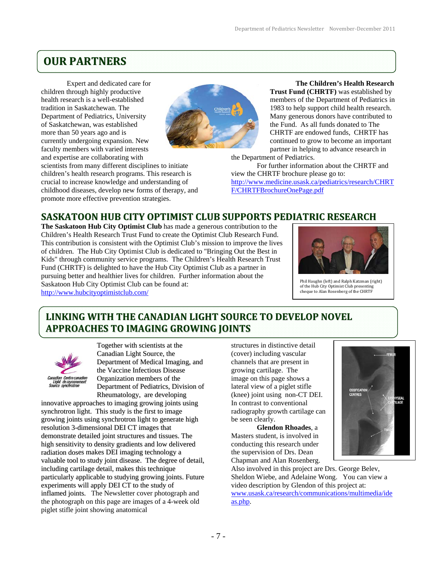# **OUR PARTNERS**

Expert and dedicated care for children through highly productive health research is a well-established tradition in Saskatchewan. The Department of Pediatrics, University of Saskatchewan, was established more than 50 years ago and is currently undergoing expansion. New faculty members with varied interests and expertise are collaborating with

scientists from many different disciplines to initiate children's health research programs. This research is crucial to increase knowledge and understanding of childhood diseases, develop new forms of therapy, and promote more effective prevention strategies.



**The Children's Health Research Trust Fund (CHRTF)** was established by members of the Department of Pediatrics in 1983 to help support child health research. Many generous donors have contributed to the Fund. As all funds donated to The CHRTF are endowed funds, CHRTF has continued to grow to become an important partner in helping to advance research in the Department of Pediatrics.

For further information about the CHRTF and view the CHRTF brochure please go to: http://www.medicine.usask.ca/pediatrics/research/CHRT F/CHRTFBrochureOnePage.pdf

# **SASKATOON HUB CITY OPTIMIST CLUB SUPPORTS PEDIATRIC RESEARCH**

**The Saskatoon Hub City Optimist Club** has made a generous contribution to the Children's Health Research Trust Fund to create the Optimist Club Research Fund. This contribution is consistent with the Optimist Club's mission to improve the lives of children. The Hub City Optimist Club is dedicated to "Bringing Out the Best in Kids" through community service programs. The Children's Health Research Trust Fund (CHRTF) is delighted to have the Hub City Optimist Club as a partner in pursuing better and healthier lives for children. Further information about the Saskatoon Hub City Optimist Club can be found at: http://www.hubcityoptimistclub.com/



Phil Haughn (left) and Ralph Katzman (right) of the Hub City Optimist Club presenting cheque to Alan Rosenberg of the CHRTF

# **LINKING WITH THE CANADIAN LIGHT SOURCE TO DEVELOP NOVEL APPROACHES TO IMAGING GROWING JOINTS**



Together with scientists at the Canadian Light Source, the Department of Medical Imaging, and the Vaccine Infectious Disease Organization members of the Department of Pediatrics, Division of Rheumatology, are developing

innovative approaches to imaging growing joints using synchrotron light. This study is the first to image growing joints using synchrotron light to generate high resolution 3-dimensional DEI CT images that demonstrate detailed joint structures and tissues. The high sensitivity to density gradients and low delivered radiation doses makes DEI imaging technology a valuable tool to study joint disease. The degree of detail, including cartilage detail, makes this technique particularly applicable to studying growing joints. Future experiments will apply DEI CT to the study of inflamed joints. The Newsletter cover photograph and the photograph on this page are images of a 4-week old piglet stifle joint showing anatomical

structures in distinctive detail (cover) including vascular channels that are present in growing cartilage. The image on this page shows a lateral view of a piglet stifle (knee) joint using non-CT DEI. In contrast to conventional radiography growth cartilage can be seen clearly.

**Glendon Rhoades**, a Masters student, is involved in conducting this research under the supervision of Drs. Dean Chapman and Alan Rosenberg.



Also involved in this project are Drs. George Belev, Sheldon Wiebe, and Adelaine Wong. You can view a video description by Glendon of this project at: www.usask.ca/research/communications/multimedia/ide as.php.